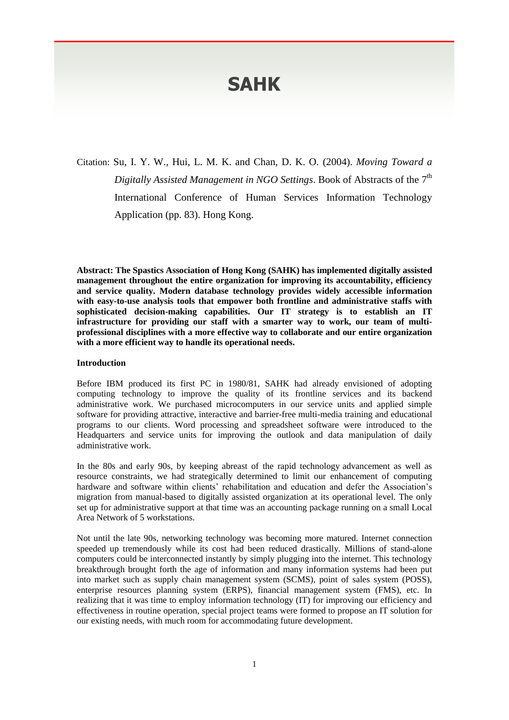# **SAHK**

Citation: Su, I. Y. W., Hui, L. M. K. and Chan, D. K. O. (2004). *Moving Toward a Digitally Assisted Management in NGO Settings.* Book of Abstracts of the 7<sup>th</sup> International Conference of Human Services Information Technology Application (pp. 83). Hong Kong.

**Abstract: The Spastics Association of Hong Kong (SAHK) has implemented digitally assisted management throughout the entire organization for improving its accountability, efficiency and service quality. Modern database technology provides widely accessible information with easy-to-use analysis tools that empower both frontline and administrative staffs with sophisticated decision-making capabilities. Our IT strategy is to establish an IT infrastructure for providing our staff with a smarter way to work, our team of multiprofessional disciplines with a more effective way to collaborate and our entire organization with a more efficient way to handle its operational needs.**

#### **Introduction**

Before IBM produced its first PC in 1980/81, SAHK had already envisioned of adopting computing technology to improve the quality of its frontline services and its backend administrative work. We purchased microcomputers in our service units and applied simple software for providing attractive, interactive and barrier-free multi-media training and educational programs to our clients. Word processing and spreadsheet software were introduced to the Headquarters and service units for improving the outlook and data manipulation of daily administrative work.

In the 80s and early 90s, by keeping abreast of the rapid technology advancement as well as resource constraints, we had strategically determined to limit our enhancement of computing hardware and software within clients' rehabilitation and education and defer the Association's migration from manual-based to digitally assisted organization at its operational level. The only set up for administrative support at that time was an accounting package running on a small Local Area Network of 5 workstations.

Not until the late 90s, networking technology was becoming more matured. Internet connection speeded up tremendously while its cost had been reduced drastically. Millions of stand-alone computers could be interconnected instantly by simply plugging into the internet. This technology breakthrough brought forth the age of information and many information systems had been put into market such as supply chain management system (SCMS), point of sales system (POSS), enterprise resources planning system (ERPS), financial management system (FMS), etc. In realizing that it was time to employ information technology (IT) for improving our efficiency and effectiveness in routine operation, special project teams were formed to propose an IT solution for our existing needs, with much room for accommodating future development.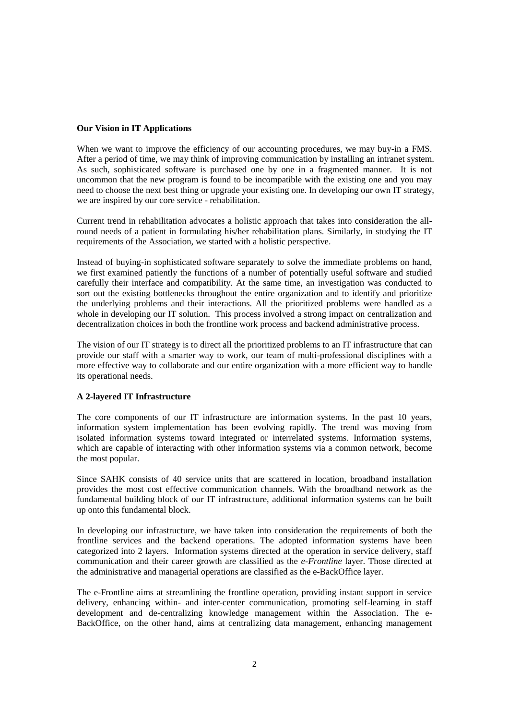# **Our Vision in IT Applications**

When we want to improve the efficiency of our accounting procedures, we may buy-in a FMS. After a period of time, we may think of improving communication by installing an intranet system. As such, sophisticated software is purchased one by one in a fragmented manner. It is not uncommon that the new program is found to be incompatible with the existing one and you may need to choose the next best thing or upgrade your existing one. In developing our own IT strategy, we are inspired by our core service - rehabilitation.

Current trend in rehabilitation advocates a holistic approach that takes into consideration the allround needs of a patient in formulating his/her rehabilitation plans. Similarly, in studying the IT requirements of the Association, we started with a holistic perspective.

Instead of buying-in sophisticated software separately to solve the immediate problems on hand, we first examined patiently the functions of a number of potentially useful software and studied carefully their interface and compatibility. At the same time, an investigation was conducted to sort out the existing bottlenecks throughout the entire organization and to identify and prioritize the underlying problems and their interactions. All the prioritized problems were handled as a whole in developing our IT solution. This process involved a strong impact on centralization and decentralization choices in both the frontline work process and backend administrative process.

The vision of our IT strategy is to direct all the prioritized problems to an IT infrastructure that can provide our staff with a smarter way to work, our team of multi-professional disciplines with a more effective way to collaborate and our entire organization with a more efficient way to handle its operational needs.

# **A 2-layered IT Infrastructure**

The core components of our IT infrastructure are information systems. In the past 10 years, information system implementation has been evolving rapidly. The trend was moving from isolated information systems toward integrated or interrelated systems. Information systems, which are capable of interacting with other information systems via a common network, become the most popular.

Since SAHK consists of 40 service units that are scattered in location, broadband installation provides the most cost effective communication channels. With the broadband network as the fundamental building block of our IT infrastructure, additional information systems can be built up onto this fundamental block.

In developing our infrastructure, we have taken into consideration the requirements of both the frontline services and the backend operations. The adopted information systems have been categorized into 2 layers. Information systems directed at the operation in service delivery, staff communication and their career growth are classified as the *e-Frontline* layer. Those directed at the administrative and managerial operations are classified as the e-BackOffice layer.

The e-Frontline aims at streamlining the frontline operation, providing instant support in service delivery, enhancing within- and inter-center communication, promoting self-learning in staff development and de-centralizing knowledge management within the Association. The e-BackOffice, on the other hand, aims at centralizing data management, enhancing management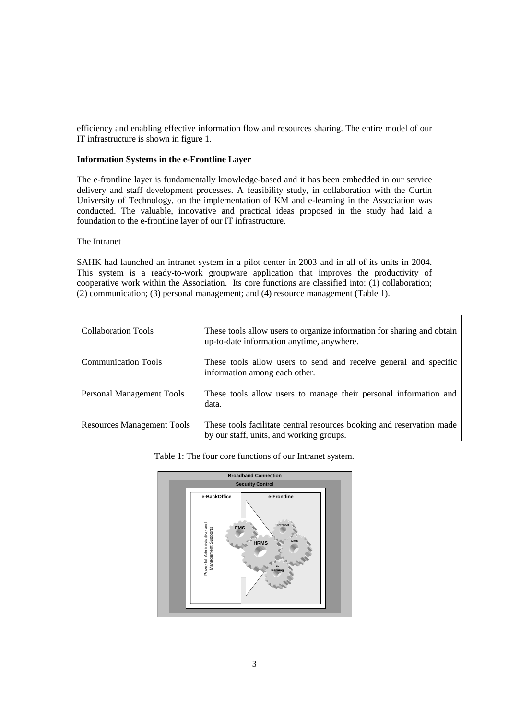efficiency and enabling effective information flow and resources sharing. The entire model of our IT infrastructure is shown in figure 1.

# **Information Systems in the e-Frontline Layer**

The e-frontline layer is fundamentally knowledge-based and it has been embedded in our service delivery and staff development processes. A feasibility study, in collaboration with the Curtin University of Technology, on the implementation of KM and e-learning in the Association was conducted. The valuable, innovative and practical ideas proposed in the study had laid a foundation to the e-frontline layer of our IT infrastructure.

#### The Intranet

SAHK had launched an intranet system in a pilot center in 2003 and in all of its units in 2004. This system is a ready-to-work groupware application that improves the productivity of cooperative work within the Association. Its core functions are classified into: (1) collaboration; (2) communication; (3) personal management; and (4) resource management (Table 1).

| <b>Collaboration Tools</b>        | These tools allow users to organize information for sharing and obtain<br>up-to-date information anytime, anywhere. |
|-----------------------------------|---------------------------------------------------------------------------------------------------------------------|
| <b>Communication Tools</b>        | These tools allow users to send and receive general and specific<br>information among each other.                   |
| Personal Management Tools         | These tools allow users to manage their personal information and<br>data.                                           |
| <b>Resources Management Tools</b> | These tools facilitate central resources booking and reservation made<br>by our staff, units, and working groups.   |

Table 1: The four core functions of our Intranet system.

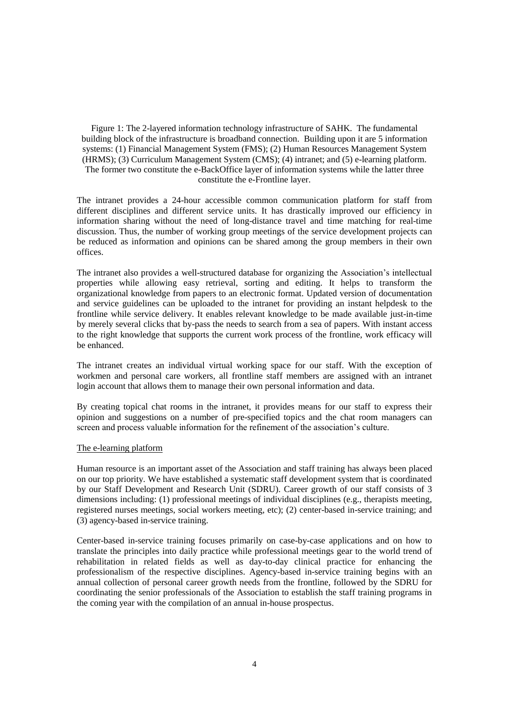Figure 1: The 2-layered information technology infrastructure of SAHK. The fundamental building block of the infrastructure is broadband connection. Building upon it are 5 information systems: (1) Financial Management System (FMS); (2) Human Resources Management System (HRMS); (3) Curriculum Management System (CMS); (4) intranet; and (5) e-learning platform. The former two constitute the e-BackOffice layer of information systems while the latter three constitute the e-Frontline layer.

The intranet provides a 24-hour accessible common communication platform for staff from different disciplines and different service units. It has drastically improved our efficiency in information sharing without the need of long-distance travel and time matching for real-time discussion. Thus, the number of working group meetings of the service development projects can be reduced as information and opinions can be shared among the group members in their own offices.

The intranet also provides a well-structured database for organizing the Association's intellectual properties while allowing easy retrieval, sorting and editing. It helps to transform the organizational knowledge from papers to an electronic format. Updated version of documentation and service guidelines can be uploaded to the intranet for providing an instant helpdesk to the frontline while service delivery. It enables relevant knowledge to be made available just-in-time by merely several clicks that by-pass the needs to search from a sea of papers. With instant access to the right knowledge that supports the current work process of the frontline, work efficacy will be enhanced.

The intranet creates an individual virtual working space for our staff. With the exception of workmen and personal care workers, all frontline staff members are assigned with an intranet login account that allows them to manage their own personal information and data.

By creating topical chat rooms in the intranet, it provides means for our staff to express their opinion and suggestions on a number of pre-specified topics and the chat room managers can screen and process valuable information for the refinement of the association's culture.

#### The e-learning platform

Human resource is an important asset of the Association and staff training has always been placed on our top priority. We have established a systematic staff development system that is coordinated by our Staff Development and Research Unit (SDRU). Career growth of our staff consists of 3 dimensions including: (1) professional meetings of individual disciplines (e.g., therapists meeting, registered nurses meetings, social workers meeting, etc); (2) center-based in-service training; and (3) agency-based in-service training.

Center-based in-service training focuses primarily on case-by-case applications and on how to translate the principles into daily practice while professional meetings gear to the world trend of rehabilitation in related fields as well as day-to-day clinical practice for enhancing the professionalism of the respective disciplines. Agency-based in-service training begins with an annual collection of personal career growth needs from the frontline, followed by the SDRU for coordinating the senior professionals of the Association to establish the staff training programs in the coming year with the compilation of an annual in-house prospectus.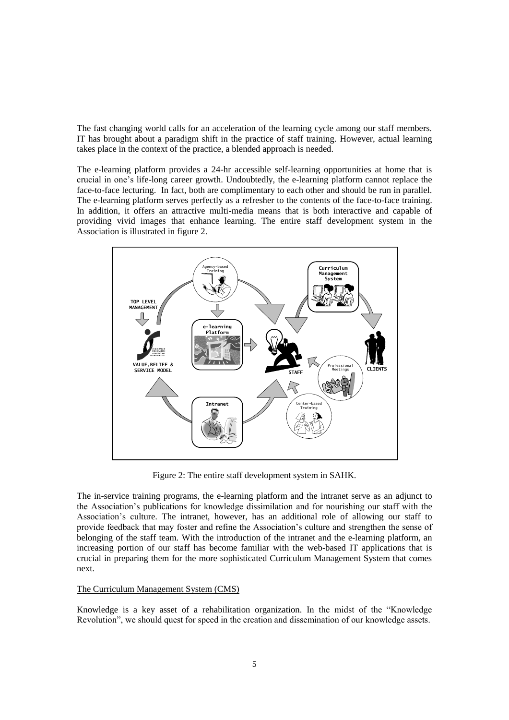The fast changing world calls for an acceleration of the learning cycle among our staff members. IT has brought about a paradigm shift in the practice of staff training. However, actual learning takes place in the context of the practice, a blended approach is needed.

The e-learning platform provides a 24-hr accessible self-learning opportunities at home that is crucial in one's life-long career growth. Undoubtedly, the e-learning platform cannot replace the face-to-face lecturing. In fact, both are complimentary to each other and should be run in parallel. The e-learning platform serves perfectly as a refresher to the contents of the face-to-face training. In addition, it offers an attractive multi-media means that is both interactive and capable of providing vivid images that enhance learning. The entire staff development system in the Association is illustrated in figure 2.



Figure 2: The entire staff development system in SAHK.

The in-service training programs, the e-learning platform and the intranet serve as an adjunct to the Association's publications for knowledge dissimilation and for nourishing our staff with the Association's culture. The intranet, however, has an additional role of allowing our staff to provide feedback that may foster and refine the Association's culture and strengthen the sense of belonging of the staff team. With the introduction of the intranet and the e-learning platform, an increasing portion of our staff has become familiar with the web-based IT applications that is crucial in preparing them for the more sophisticated Curriculum Management System that comes next.

# The Curriculum Management System (CMS)

Knowledge is a key asset of a rehabilitation organization. In the midst of the "Knowledge Revolution", we should quest for speed in the creation and dissemination of our knowledge assets.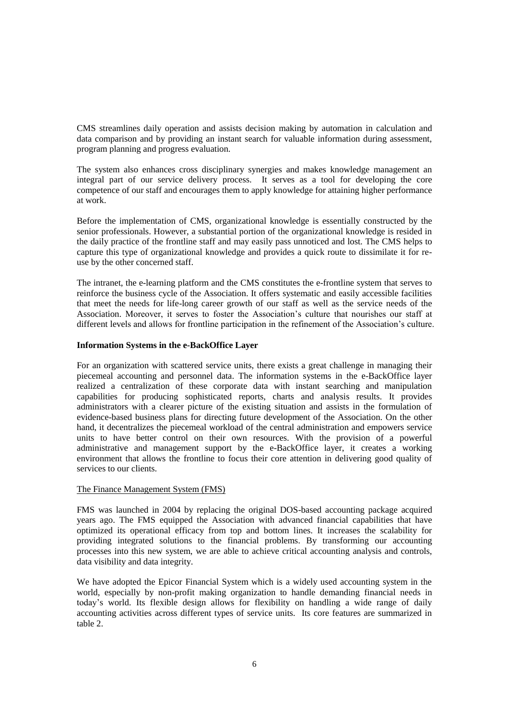CMS streamlines daily operation and assists decision making by automation in calculation and data comparison and by providing an instant search for valuable information during assessment, program planning and progress evaluation.

The system also enhances cross disciplinary synergies and makes knowledge management an integral part of our service delivery process. It serves as a tool for developing the core competence of our staff and encourages them to apply knowledge for attaining higher performance at work.

Before the implementation of CMS, organizational knowledge is essentially constructed by the senior professionals. However, a substantial portion of the organizational knowledge is resided in the daily practice of the frontline staff and may easily pass unnoticed and lost. The CMS helps to capture this type of organizational knowledge and provides a quick route to dissimilate it for reuse by the other concerned staff.

The intranet, the e-learning platform and the CMS constitutes the e-frontline system that serves to reinforce the business cycle of the Association. It offers systematic and easily accessible facilities that meet the needs for life-long career growth of our staff as well as the service needs of the Association. Moreover, it serves to foster the Association's culture that nourishes our staff at different levels and allows for frontline participation in the refinement of the Association's culture.

# **Information Systems in the e-BackOffice Layer**

For an organization with scattered service units, there exists a great challenge in managing their piecemeal accounting and personnel data. The information systems in the e-BackOffice layer realized a centralization of these corporate data with instant searching and manipulation capabilities for producing sophisticated reports, charts and analysis results. It provides administrators with a clearer picture of the existing situation and assists in the formulation of evidence-based business plans for directing future development of the Association. On the other hand, it decentralizes the piecemeal workload of the central administration and empowers service units to have better control on their own resources. With the provision of a powerful administrative and management support by the e-BackOffice layer, it creates a working environment that allows the frontline to focus their core attention in delivering good quality of services to our clients.

#### The Finance Management System (FMS)

FMS was launched in 2004 by replacing the original DOS-based accounting package acquired years ago. The FMS equipped the Association with advanced financial capabilities that have optimized its operational efficacy from top and bottom lines. It increases the scalability for providing integrated solutions to the financial problems. By transforming our accounting processes into this new system, we are able to achieve critical accounting analysis and controls, data visibility and data integrity.

We have adopted the Epicor Financial System which is a widely used accounting system in the world, especially by non-profit making organization to handle demanding financial needs in today's world. Its flexible design allows for flexibility on handling a wide range of daily accounting activities across different types of service units. Its core features are summarized in table 2.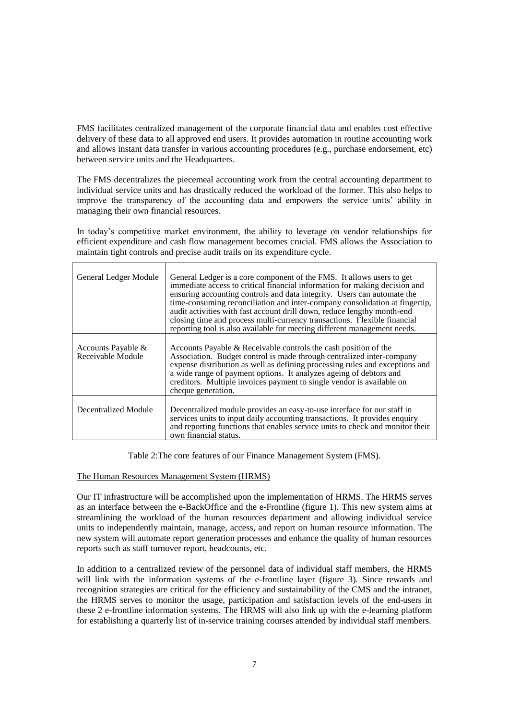FMS facilitates centralized management of the corporate financial data and enables cost effective delivery of these data to all approved end users. It provides automation in routine accounting work and allows instant data transfer in various accounting procedures (e.g., purchase endorsement, etc) between service units and the Headquarters.

The FMS decentralizes the piecemeal accounting work from the central accounting department to individual service units and has drastically reduced the workload of the former. This also helps to improve the transparency of the accounting data and empowers the service units' ability in managing their own financial resources.

In today's competitive market environment, the ability to leverage on vendor relationships for efficient expenditure and cash flow management becomes crucial. FMS allows the Association to maintain tight controls and precise audit trails on its expenditure cycle.

| General Ledger Module                   | General Ledger is a core component of the FMS. It allows users to get<br>immediate access to critical financial information for making decision and<br>ensuring accounting controls and data integrity. Users can automate the<br>time-consuming reconciliation and inter-company consolidation at fingertip,<br>audit activities with fast account drill down, reduce lengthy month-end<br>closing time and process multi-currency transactions. Flexible financial<br>reporting tool is also available for meeting different management needs. |
|-----------------------------------------|--------------------------------------------------------------------------------------------------------------------------------------------------------------------------------------------------------------------------------------------------------------------------------------------------------------------------------------------------------------------------------------------------------------------------------------------------------------------------------------------------------------------------------------------------|
| Accounts Payable &<br>Receivable Module | Accounts Payable & Receivable controls the cash position of the<br>Association. Budget control is made through centralized inter-company<br>expense distribution as well as defining processing rules and exceptions and<br>a wide range of payment options. It analyzes ageing of debtors and<br>creditors. Multiple invoices payment to single vendor is available on<br>cheque generation.                                                                                                                                                    |
| Decentralized Module                    | Decentralized module provides an easy-to-use interface for our staff in<br>services units to input daily accounting transactions. It provides enquiry<br>and reporting functions that enables service units to check and monitor their<br>own financial status.                                                                                                                                                                                                                                                                                  |

Table 2:The core features of our Finance Management System (FMS).

# The Human Resources Management System (HRMS)

Our IT infrastructure will be accomplished upon the implementation of HRMS. The HRMS serves as an interface between the e-BackOffice and the e-Frontline (figure 1). This new system aims at streamlining the workload of the human resources department and allowing individual service units to independently maintain, manage, access, and report on human resource information. The new system will automate report generation processes and enhance the quality of human resources reports such as staff turnover report, headcounts, etc.

In addition to a centralized review of the personnel data of individual staff members, the HRMS will link with the information systems of the e-frontline layer (figure 3). Since rewards and recognition strategies are critical for the efficiency and sustainability of the CMS and the intranet, the HRMS serves to monitor the usage, participation and satisfaction levels of the end-users in these 2 e-frontline information systems. The HRMS will also link up with the e-learning platform for establishing a quarterly list of in-service training courses attended by individual staff members.